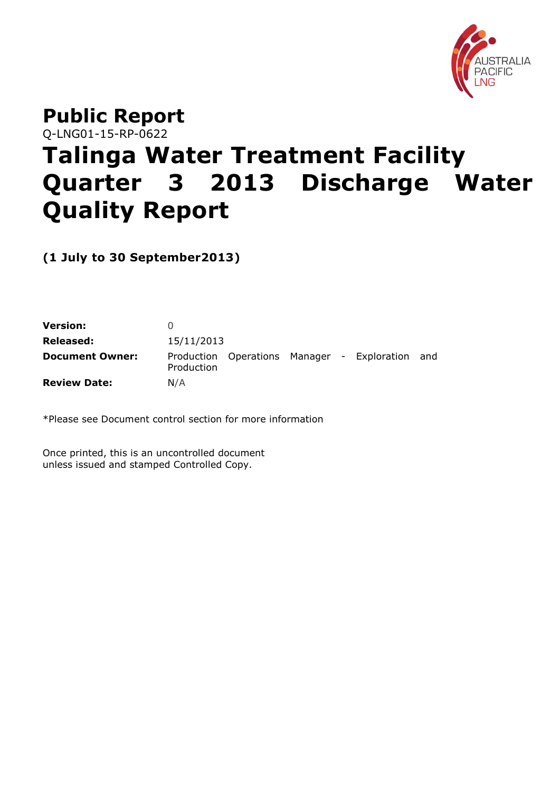

# **Public Report** Q-LNG01-15-RP-0622 **Talinga Water Treatment Facility Quarter 3 2013 Discharge Water Quality Report**

**(1 July to 30 September2013)**

| <b>Version:</b>        |            |  |                                             |     |
|------------------------|------------|--|---------------------------------------------|-----|
| Released:              | 15/11/2013 |  |                                             |     |
| <b>Document Owner:</b> | Production |  | Production Operations Manager - Exploration | and |
| <b>Review Date:</b>    | N/A        |  |                                             |     |

\*Please see Document control section for more information

Once printed, this is an uncontrolled document unless issued and stamped Controlled Copy.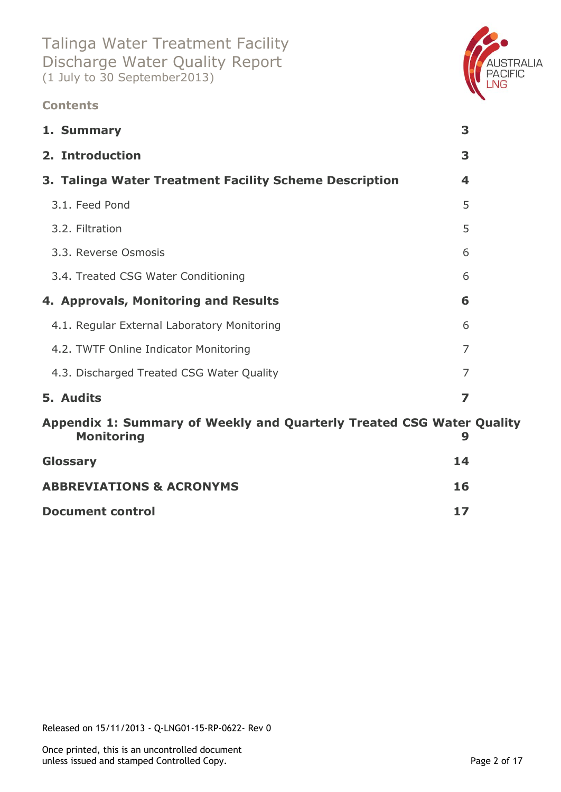### **Contents**



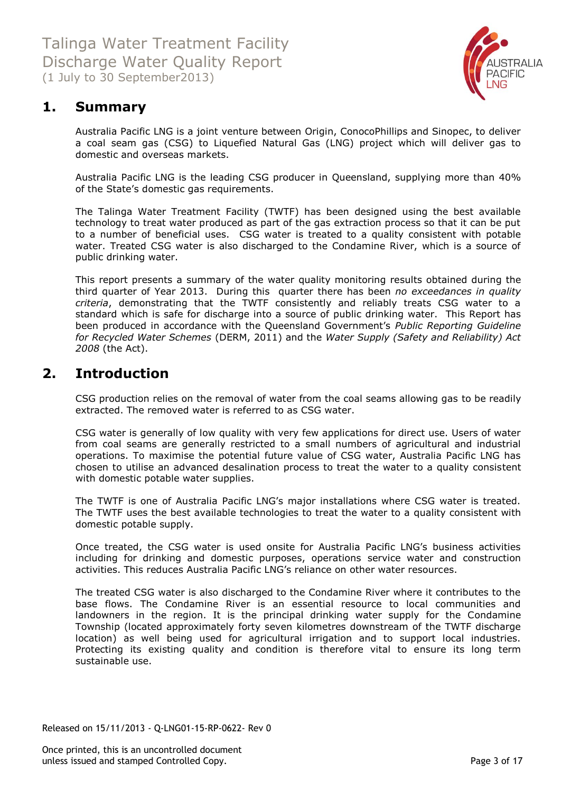

# <span id="page-2-0"></span>**1. Summary**

Australia Pacific LNG is a joint venture between Origin, ConocoPhillips and Sinopec, to deliver a coal seam gas (CSG) to Liquefied Natural Gas (LNG) project which will deliver gas to domestic and overseas markets.

Australia Pacific LNG is the leading CSG producer in Queensland, supplying more than 40% of the State's domestic gas requirements.

The Talinga Water Treatment Facility (TWTF) has been designed using the best available technology to treat water produced as part of the gas extraction process so that it can be put to a number of beneficial uses. CSG water is treated to a quality consistent with potable water. Treated CSG water is also discharged to the Condamine River, which is a source of public drinking water.

This report presents a summary of the water quality monitoring results obtained during the third quarter of Year 2013. During this quarter there has been *no exceedances in quality criteria*, demonstrating that the TWTF consistently and reliably treats CSG water to a standard which is safe for discharge into a source of public drinking water. This Report has been produced in accordance with the Queensland Government's *Public Reporting Guideline for Recycled Water Schemes* (DERM, 2011) and the *Water Supply (Safety and Reliability) Act 2008* (the Act).

### <span id="page-2-1"></span>**2. Introduction**

CSG production relies on the removal of water from the coal seams allowing gas to be readily extracted. The removed water is referred to as CSG water.

CSG water is generally of low quality with very few applications for direct use. Users of water from coal seams are generally restricted to a small numbers of agricultural and industrial operations. To maximise the potential future value of CSG water, Australia Pacific LNG has chosen to utilise an advanced desalination process to treat the water to a quality consistent with domestic potable water supplies.

The TWTF is one of Australia Pacific LNG's major installations where CSG water is treated. The TWTF uses the best available technologies to treat the water to a quality consistent with domestic potable supply.

Once treated, the CSG water is used onsite for Australia Pacific LNG's business activities including for drinking and domestic purposes, operations service water and construction activities. This reduces Australia Pacific LNG's reliance on other water resources.

The treated CSG water is also discharged to the Condamine River where it contributes to the base flows. The Condamine River is an essential resource to local communities and landowners in the region. It is the principal drinking water supply for the Condamine Township (located approximately forty seven kilometres downstream of the TWTF discharge location) as well being used for agricultural irrigation and to support local industries. Protecting its existing quality and condition is therefore vital to ensure its long term sustainable use.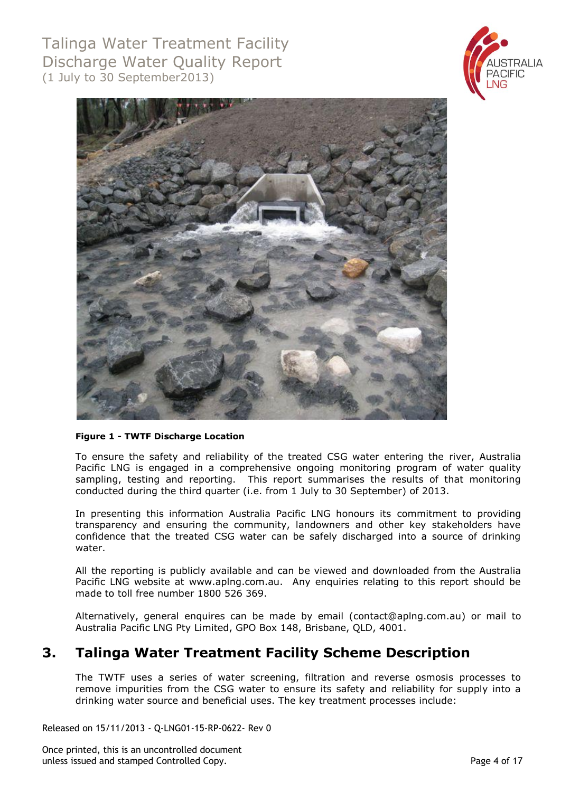



#### **Figure 1 - TWTF Discharge Location**

To ensure the safety and reliability of the treated CSG water entering the river, Australia Pacific LNG is engaged in a comprehensive ongoing monitoring program of water quality sampling, testing and reporting. This report summarises the results of that monitoring conducted during the third quarter (i.e. from 1 July to 30 September) of 2013.

In presenting this information Australia Pacific LNG honours its commitment to providing transparency and ensuring the community, landowners and other key stakeholders have confidence that the treated CSG water can be safely discharged into a source of drinking water.

All the reporting is publicly available and can be viewed and downloaded from the Australia Pacific LNG website at [www.aplng.com.au.](http://www.aplng.com.au/) Any enquiries relating to this report should be made to toll free number 1800 526 369.

Alternatively, general enquires can be made by email [\(contact@aplng.com.au\)](mailto:contact@aplng.com.au) or mail to Australia Pacific LNG Pty Limited, GPO Box 148, Brisbane, QLD, 4001.

### <span id="page-3-0"></span>**3. Talinga Water Treatment Facility Scheme Description**

The TWTF uses a series of water screening, filtration and reverse osmosis processes to remove impurities from the CSG water to ensure its safety and reliability for supply into a drinking water source and beneficial uses. The key treatment processes include:

Released on 15/11/2013 - Q-LNG01-15-RP-0622- Rev 0

Once printed, this is an uncontrolled document unless issued and stamped Controlled Copy. Page 4 of 17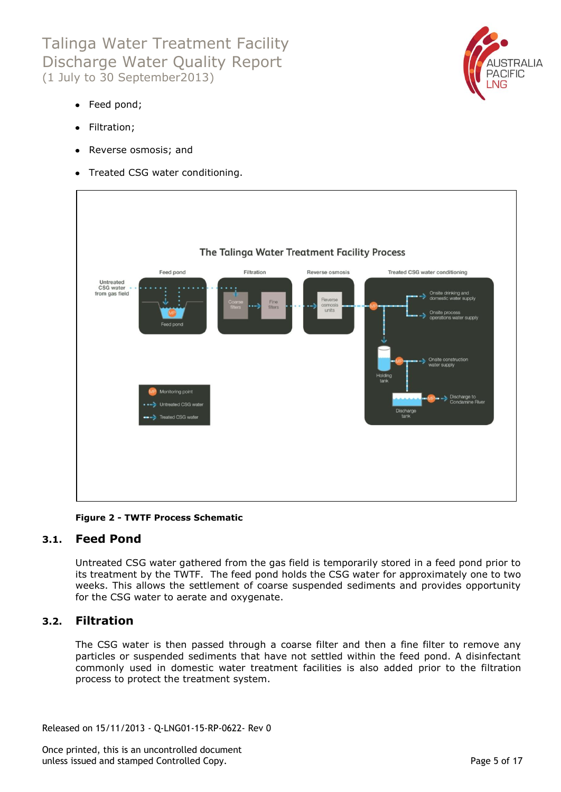

- Feed pond;
- Filtration;
- Reverse osmosis; and
- Treated CSG water conditioning.



**Figure 2 - TWTF Process Schematic**

### <span id="page-4-0"></span>**3.1. Feed Pond**

Untreated CSG water gathered from the gas field is temporarily stored in a feed pond prior to its treatment by the TWTF. The feed pond holds the CSG water for approximately one to two weeks. This allows the settlement of coarse suspended sediments and provides opportunity for the CSG water to aerate and oxygenate.

### <span id="page-4-1"></span>**3.2. Filtration**

The CSG water is then passed through a coarse filter and then a fine filter to remove any particles or suspended sediments that have not settled within the feed pond. A disinfectant commonly used in domestic water treatment facilities is also added prior to the filtration process to protect the treatment system.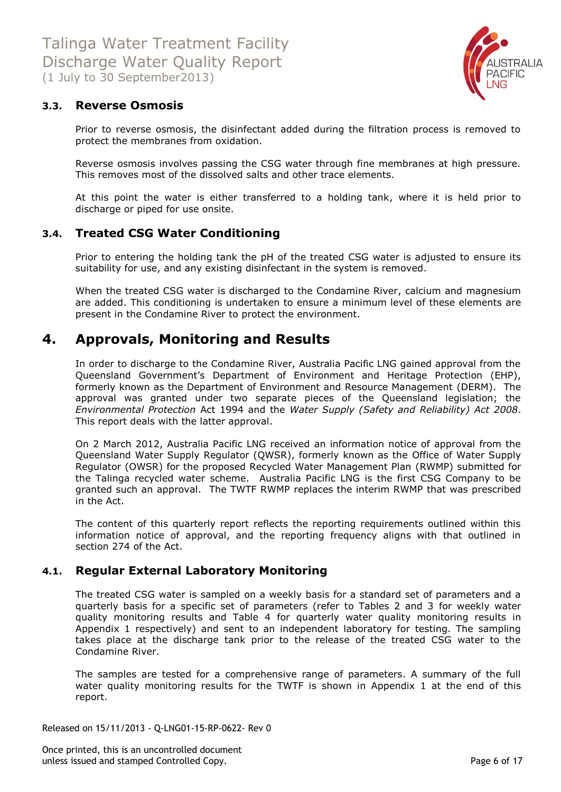

### <span id="page-5-0"></span>**3.3. Reverse Osmosis**

Prior to reverse osmosis, the disinfectant added during the filtration process is removed to protect the membranes from oxidation.

Reverse osmosis involves passing the CSG water through fine membranes at high pressure. This removes most of the dissolved salts and other trace elements.

At this point the water is either transferred to a holding tank, where it is held prior to discharge or piped for use onsite.

### <span id="page-5-1"></span>**3.4. Treated CSG Water Conditioning**

Prior to entering the holding tank the pH of the treated CSG water is adjusted to ensure its suitability for use, and any existing disinfectant in the system is removed.

When the treated CSG water is discharged to the Condamine River, calcium and magnesium are added. This conditioning is undertaken to ensure a minimum level of these elements are present in the Condamine River to protect the environment.

### <span id="page-5-2"></span>**4. Approvals, Monitoring and Results**

In order to discharge to the Condamine River, Australia Pacific LNG gained approval from the Queensland Government's Department of Environment and Heritage Protection (EHP), formerly known as the Department of Environment and Resource Management (DERM). The approval was granted under two separate pieces of the Queensland legislation; the *Environmental Protection* Act 1994 and the *Water Supply (Safety and Reliability) Act 2008*. This report deals with the latter approval.

On 2 March 2012, Australia Pacific LNG received an information notice of approval from the Queensland Water Supply Regulator (QWSR), formerly known as the Office of Water Supply Regulator (OWSR) for the proposed Recycled Water Management Plan (RWMP) submitted for the Talinga recycled water scheme. Australia Pacific LNG is the first CSG Company to be granted such an approval. The TWTF RWMP replaces the interim RWMP that was prescribed in the Act.

The content of this quarterly report reflects the reporting requirements outlined within this information notice of approval, and the reporting frequency aligns with that outlined in section 274 of the Act.

### <span id="page-5-3"></span>**4.1. Regular External Laboratory Monitoring**

The treated CSG water is sampled on a weekly basis for a standard set of parameters and a quarterly basis for a specific set of parameters (refer to Tables 2 and 3 for weekly water quality monitoring results and Table 4 for quarterly water quality monitoring results in Appendix 1 respectively) and sent to an independent laboratory for testing. The sampling takes place at the discharge tank prior to the release of the treated CSG water to the Condamine River.

The samples are tested for a comprehensive range of parameters. A summary of the full water quality monitoring results for the TWTF is shown in Appendix 1 at the end of this report.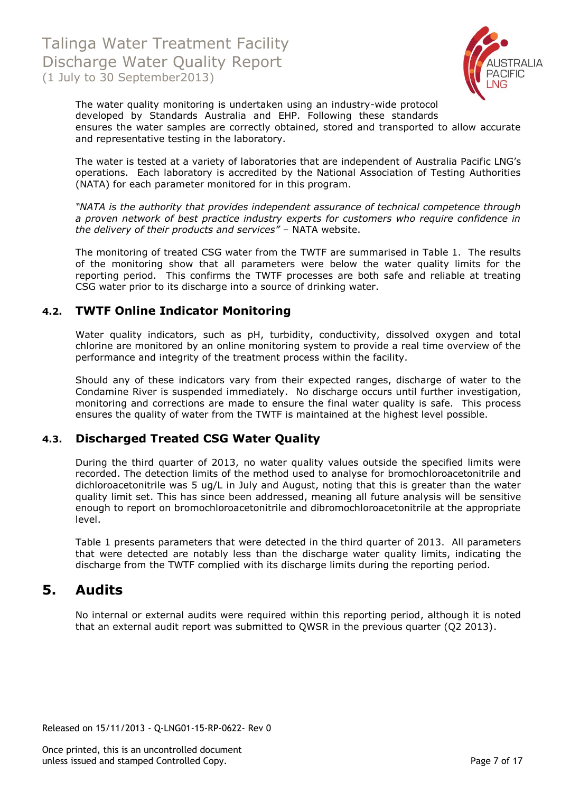

The water quality monitoring is undertaken using an industry-wide protocol developed by Standards Australia and EHP. Following these standards ensures the water samples are correctly obtained, stored and transported to allow accurate and representative testing in the laboratory.

The water is tested at a variety of laboratories that are independent of Australia Pacific LNG's operations. Each laboratory is accredited by the National Association of Testing Authorities (NATA) for each parameter monitored for in this program.

*"NATA is the authority that provides independent assurance of technical competence through a proven network of best practice industry experts for customers who require confidence in the delivery of their products and services"* – NATA website.

The monitoring of treated CSG water from the TWTF are summarised in Table 1. The results of the monitoring show that all parameters were below the water quality limits for the reporting period. This confirms the TWTF processes are both safe and reliable at treating CSG water prior to its discharge into a source of drinking water.

### <span id="page-6-0"></span>**4.2. TWTF Online Indicator Monitoring**

Water quality indicators, such as pH, turbidity, conductivity, dissolved oxygen and total chlorine are monitored by an online monitoring system to provide a real time overview of the performance and integrity of the treatment process within the facility.

Should any of these indicators vary from their expected ranges, discharge of water to the Condamine River is suspended immediately. No discharge occurs until further investigation, monitoring and corrections are made to ensure the final water quality is safe. This process ensures the quality of water from the TWTF is maintained at the highest level possible.

### <span id="page-6-1"></span>**4.3. Discharged Treated CSG Water Quality**

During the third quarter of 2013, no water quality values outside the specified limits were recorded. The detection limits of the method used to analyse for bromochloroacetonitrile and dichloroacetonitrile was 5 ug/L in July and August, noting that this is greater than the water quality limit set. This has since been addressed, meaning all future analysis will be sensitive enough to report on bromochloroacetonitrile and dibromochloroacetonitrile at the appropriate level.

Table 1 presents parameters that were detected in the third quarter of 2013. All parameters that were detected are notably less than the discharge water quality limits, indicating the discharge from the TWTF complied with its discharge limits during the reporting period.

### <span id="page-6-2"></span>**5. Audits**

No internal or external audits were required within this reporting period, although it is noted that an external audit report was submitted to QWSR in the previous quarter (Q2 2013).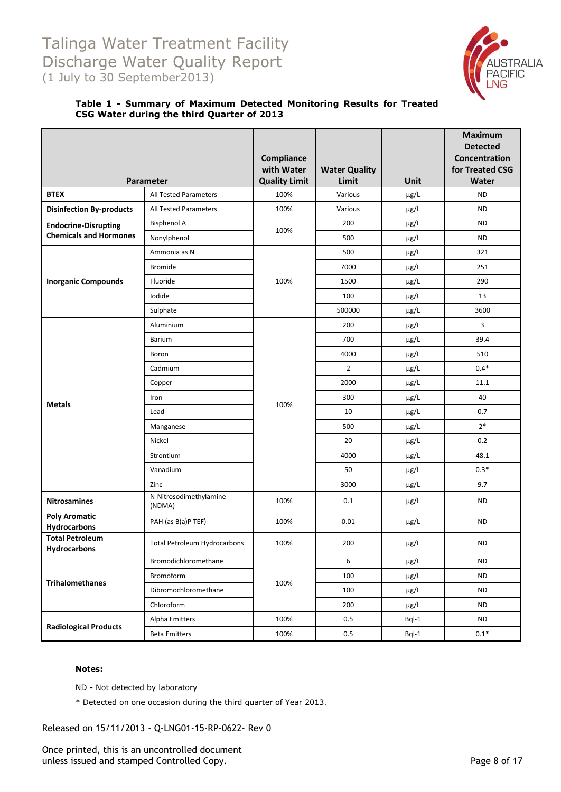

#### **Table 1 - Summary of Maximum Detected Monitoring Results for Treated CSG Water during the third Quarter of 2013**

|                                        |                                  | Compliance<br>with Water | <b>Water Quality</b> |           | <b>Maximum</b><br><b>Detected</b><br>Concentration<br>for Treated CSG |
|----------------------------------------|----------------------------------|--------------------------|----------------------|-----------|-----------------------------------------------------------------------|
|                                        | Parameter                        | <b>Quality Limit</b>     | Limit                | Unit      | Water                                                                 |
| <b>BTEX</b>                            | All Tested Parameters            | 100%                     | Various              | µg/L      | <b>ND</b>                                                             |
| <b>Disinfection By-products</b>        | All Tested Parameters            | 100%                     | Various              | µg/L      | <b>ND</b>                                                             |
| <b>Endocrine-Disrupting</b>            | <b>Bisphenol A</b>               | 100%                     | 200                  | µg/L      | <b>ND</b>                                                             |
| <b>Chemicals and Hormones</b>          | Nonylphenol                      |                          | 500                  | µg/L      | <b>ND</b>                                                             |
|                                        | Ammonia as N                     |                          | 500                  | µg/L      | 321                                                                   |
|                                        | <b>Bromide</b>                   |                          | 7000                 | $\mu$ g/L | 251                                                                   |
| <b>Inorganic Compounds</b>             | Fluoride                         | 100%                     | 1500                 | µg/L      | 290                                                                   |
|                                        | Iodide                           |                          | 100                  | µg/L      | 13                                                                    |
|                                        | Sulphate                         |                          | 500000               | µg/L      | 3600                                                                  |
|                                        | Aluminium                        |                          | 200                  | µg/L      | 3                                                                     |
|                                        | <b>Barium</b>                    |                          | 700                  | µg/L      | 39.4                                                                  |
|                                        | Boron                            |                          | 4000                 | µg/L      | 510                                                                   |
|                                        | Cadmium                          |                          | $\overline{2}$       | µg/L      | $0.4*$                                                                |
|                                        | Copper                           |                          | 2000                 | µg/L      | 11.1                                                                  |
|                                        | Iron                             |                          | 300                  | µg/L      | 40                                                                    |
| <b>Metals</b>                          | Lead                             | 100%                     | 10                   | µg/L      | 0.7                                                                   |
|                                        | Manganese                        |                          | 500                  | $\mu$ g/L | $2*$                                                                  |
|                                        | Nickel                           |                          | 20                   | µg/L      | 0.2                                                                   |
|                                        | Strontium                        |                          | 4000                 | µg/L      | 48.1                                                                  |
|                                        | Vanadium                         |                          | 50                   | µg/L      | $0.3*$                                                                |
|                                        | Zinc                             |                          | 3000                 | µg/L      | 9.7                                                                   |
| <b>Nitrosamines</b>                    | N-Nitrosodimethylamine<br>(NDMA) | 100%                     | 0.1                  | µg/L      | <b>ND</b>                                                             |
| <b>Poly Aromatic</b><br>Hydrocarbons   | PAH (as B(a)P TEF)               | 100%                     | 0.01                 | µg/L      | <b>ND</b>                                                             |
| <b>Total Petroleum</b><br>Hydrocarbons | Total Petroleum Hydrocarbons     | 100%                     | 200                  | µg/L      | <b>ND</b>                                                             |
|                                        | Bromodichloromethane             |                          | 6                    | µg/L      | <b>ND</b>                                                             |
|                                        | Bromoform                        |                          | 100                  | µg/L      | <b>ND</b>                                                             |
| <b>Trihalomethanes</b>                 | Dibromochloromethane             | 100%                     | 100                  | µg/L      | <b>ND</b>                                                             |
|                                        | Chloroform                       |                          | 200                  | $\mu$ g/L | <b>ND</b>                                                             |
|                                        | Alpha Emitters                   | 100%                     | 0.5                  | $BqI-1$   | <b>ND</b>                                                             |
| <b>Radiological Products</b>           | <b>Beta Emitters</b>             | 100%                     | $0.5\,$              | $BqI-1$   | $0.1*$                                                                |

#### **Notes:**

ND - Not detected by laboratory

\* Detected on one occasion during the third quarter of Year 2013.

Released on 15/11/2013 - Q-LNG01-15-RP-0622- Rev 0

Once printed, this is an uncontrolled document unless issued and stamped Controlled Copy. The extendion of the Page 8 of 17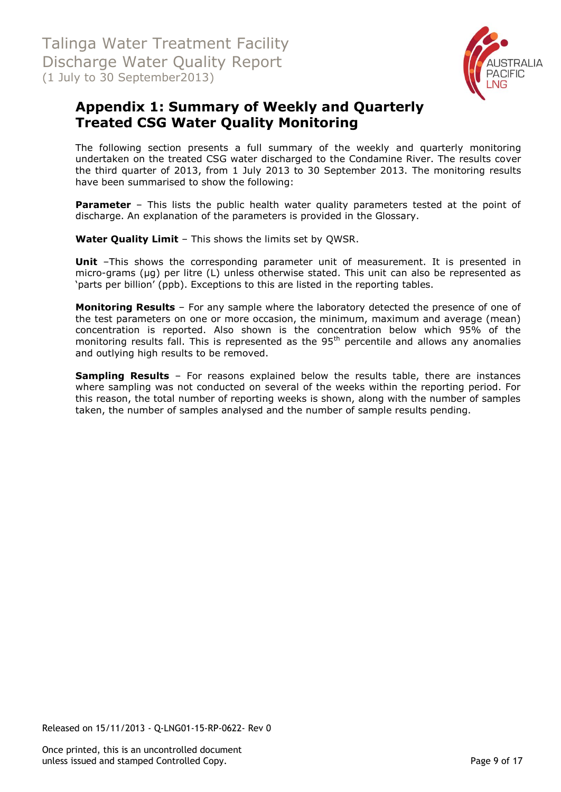

# <span id="page-8-0"></span>**Appendix 1: Summary of Weekly and Quarterly Treated CSG Water Quality Monitoring**

The following section presents a full summary of the weekly and quarterly monitoring undertaken on the treated CSG water discharged to the Condamine River. The results cover the third quarter of 2013, from 1 July 2013 to 30 September 2013. The monitoring results have been summarised to show the following:

**Parameter** – This lists the public health water quality parameters tested at the point of discharge. An explanation of the parameters is provided in the Glossary.

**Water Quality Limit** – This shows the limits set by QWSR.

**Unit** -This shows the corresponding parameter unit of measurement. It is presented in micro-grams (µg) per litre (L) unless otherwise stated. This unit can also be represented as 'parts per billion' (ppb). Exceptions to this are listed in the reporting tables.

**Monitoring Results** – For any sample where the laboratory detected the presence of one of the test parameters on one or more occasion, the minimum, maximum and average (mean) concentration is reported. Also shown is the concentration below which 95% of the monitoring results fall. This is represented as the  $95<sup>th</sup>$  percentile and allows any anomalies and outlying high results to be removed.

**Sampling Results** – For reasons explained below the results table, there are instances where sampling was not conducted on several of the weeks within the reporting period. For this reason, the total number of reporting weeks is shown, along with the number of samples taken, the number of samples analysed and the number of sample results pending.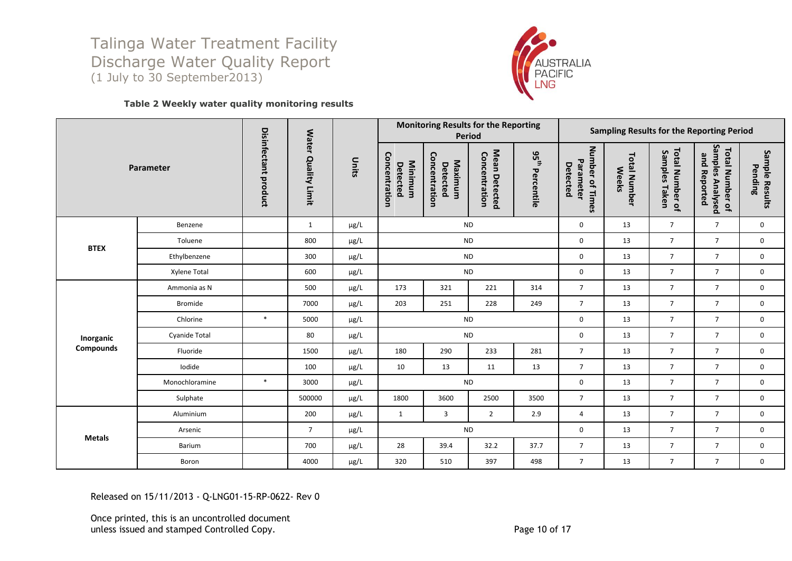

#### **Table 2 Weekly water quality monitoring results**

|               |                      |                      |                     |           |                                      | <b>Monitoring Results for the Reporting</b> | Period                         |                             | Sampling Results for the Reporting Period |                                     |                                  |                                                     |                           |  |
|---------------|----------------------|----------------------|---------------------|-----------|--------------------------------------|---------------------------------------------|--------------------------------|-----------------------------|-------------------------------------------|-------------------------------------|----------------------------------|-----------------------------------------------------|---------------------------|--|
|               | Parameter            | Disinfectant product | Water Quality Limit | Units     | Concentration<br>Minimum<br>Detected | Concentration<br>Maximum<br>Detected        | Mean Detected<br>Concentration | $95^{\rm th}$<br>Percentile | Number of Times<br>Parameter<br>Detected  | <b>Total Number</b><br><b>Weeks</b> | Total Number of<br>Samples Taken | Samples Analysed<br>Total Number of<br>and Reported | Sample Results<br>Pending |  |
|               | Benzene              |                      | 1                   | $\mu$ g/L |                                      |                                             | <b>ND</b>                      |                             | 0                                         | 13                                  | $\overline{7}$                   | $\overline{7}$                                      | $\mathbf 0$               |  |
| <b>BTEX</b>   | Toluene              |                      | 800                 | µg/L      |                                      |                                             | <b>ND</b>                      |                             | 0                                         | 13                                  | $\overline{7}$                   | $\overline{7}$                                      | $\mathbf 0$               |  |
|               | Ethylbenzene         |                      | 300                 | $\mu$ g/L |                                      | <b>ND</b>                                   |                                |                             |                                           | 13                                  | $\overline{7}$                   | $\overline{7}$                                      | $\mathbf 0$               |  |
|               | Xylene Total         |                      | 600                 | $\mu$ g/L | <b>ND</b>                            |                                             |                                |                             | 0                                         | 13                                  | $\overline{7}$                   | $\overline{7}$                                      | $\mathbf 0$               |  |
|               | Ammonia as N         |                      | 500                 | $\mu$ g/L | 173                                  | 321                                         | 221                            | 314                         | $\overline{7}$                            | 13                                  | $\overline{7}$                   | $\overline{7}$                                      | $\mathbf 0$               |  |
|               | Bromide              |                      | 7000                | $\mu$ g/L | 203                                  | 251                                         | 228                            | 249                         | $\overline{7}$                            | 13                                  | $\overline{7}$                   | $\overline{7}$                                      | $\mathbf 0$               |  |
|               | Chlorine             | $\ast$               | 5000                | $\mu$ g/L |                                      |                                             | <b>ND</b>                      |                             | 0                                         | 13                                  | $\overline{7}$                   | $\overline{7}$                                      | $\mathbf 0$               |  |
| Inorganic     | <b>Cyanide Total</b> |                      | 80                  | µg/L      |                                      |                                             | <b>ND</b>                      |                             | 0                                         | 13                                  | $\overline{7}$                   | $\overline{7}$                                      | $\mathbf 0$               |  |
| Compounds     | Fluoride             |                      | 1500                | $\mu$ g/L | 180                                  | 290                                         | 233                            | 281                         | $\overline{7}$                            | 13                                  | $\overline{7}$                   | $\overline{7}$                                      | $\mathbf 0$               |  |
|               | Iodide               |                      | 100                 | $\mu$ g/L | 10                                   | 13                                          | 11                             | 13                          | $\overline{7}$                            | 13                                  | $\overline{7}$                   | $\overline{7}$                                      | 0                         |  |
|               | Monochloramine       | $\ast$               | 3000                | µg/L      |                                      |                                             | <b>ND</b>                      |                             | 0                                         | 13                                  | $\overline{7}$                   | $\overline{7}$                                      | $\mathbf 0$               |  |
|               | Sulphate             |                      | 500000              | $\mu$ g/L | 1800                                 | 3600                                        | 2500                           | 3500                        | $\overline{7}$                            | 13                                  | $\overline{7}$                   | $\overline{7}$                                      | $\mathbf 0$               |  |
|               | Aluminium            |                      | 200                 | $\mu$ g/L | 1                                    | $\overline{3}$                              | $\overline{2}$                 | 2.9                         | 4                                         | 13                                  | $\overline{7}$                   | $7^{\circ}$                                         | 0                         |  |
|               | Arsenic              |                      | $\overline{7}$      | $\mu$ g/L |                                      |                                             | <b>ND</b>                      |                             | 0                                         | 13                                  | $\overline{7}$                   | $\overline{7}$                                      | $\mathbf 0$               |  |
| <b>Metals</b> | Barium               |                      | 700                 | $\mu$ g/L | 28                                   | 39.4                                        | 32.2                           | 37.7                        | $\overline{7}$                            | 13                                  | $\overline{7}$                   | $\overline{7}$                                      | 0                         |  |
|               | Boron                |                      | 4000                | $\mu$ g/L | 320                                  | 510                                         | 397                            | 498                         | $\overline{7}$                            | 13                                  | $\overline{7}$                   | $7^{\circ}$                                         | 0                         |  |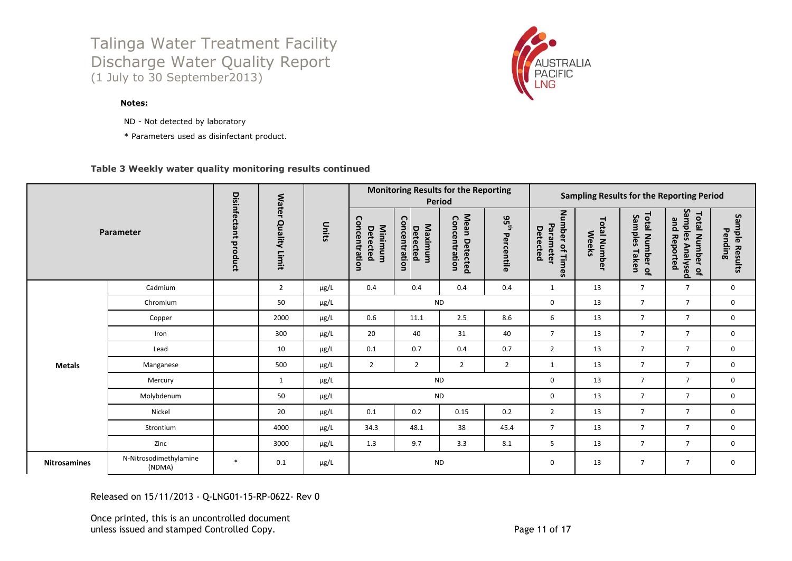#### **Notes:**

- ND Not detected by laboratory
- \* Parameters used as disinfectant product.

#### **Table 3 Weekly water quality monitoring results continued**

|                     |                                  |        |                      |           |                | <b>Monitoring Results for the Reporting</b> | Period              |                |                                      |                                      |                                | <b>Sampling Results for the Reporting Period</b> |                                              |                                     |                                     |                                                            |                              |
|---------------------|----------------------------------|--------|----------------------|-----------|----------------|---------------------------------------------|---------------------|----------------|--------------------------------------|--------------------------------------|--------------------------------|--------------------------------------------------|----------------------------------------------|-------------------------------------|-------------------------------------|------------------------------------------------------------|------------------------------|
|                     | Parameter                        |        | Disinfectant product |           |                |                                             | Water Quality Limit | Units          | Concentration<br>Minimum<br>Detected | Concentration<br>Maximum<br>Detected | Mean Detected<br>Concentration | 95 <sub>th</sub><br>Percentile                   | Number of Tim<br>Parameter<br>Detected<br>éS | <b>Total Number</b><br><b>Weeks</b> | Total Number of<br>Samples<br>Taken | Samples Analysed<br><b>Total Number of</b><br>and Reported | Sample<br>Pending<br>Results |
|                     | Cadmium                          |        | $\overline{2}$       | $\mu$ g/L | 0.4            | 0.4                                         | 0.4                 | 0.4            | $\mathbf{1}$                         | 13                                   | $\overline{7}$                 | $\overline{7}$                                   | $\mathbf 0$                                  |                                     |                                     |                                                            |                              |
|                     | Chromium                         |        | 50                   | $\mu$ g/L |                | <b>ND</b>                                   |                     |                |                                      | 13                                   | $\overline{7}$                 | $\overline{7}$                                   | 0                                            |                                     |                                     |                                                            |                              |
|                     | Copper                           |        | 2000                 | μg/L      | 0.6            | 11.1                                        | 2.5                 | 8.6            | 6                                    | 13                                   | $\overline{7}$                 | $\overline{7}$                                   | $\mathbf 0$                                  |                                     |                                     |                                                            |                              |
|                     | Iron                             |        | 300                  | μg/L      | 20             | 40                                          | 31                  | 40             | $\overline{7}$                       | 13                                   | $\overline{7}$                 | $\overline{7}$                                   | $\mathbf 0$                                  |                                     |                                     |                                                            |                              |
|                     | Lead                             |        | 10                   | $\mu$ g/L | 0.1            | 0.7                                         | 0.4                 | 0.7            | $\overline{2}$                       | 13                                   | $\overline{7}$                 | $\overline{7}$                                   | $\mathbf 0$                                  |                                     |                                     |                                                            |                              |
| <b>Metals</b>       | Manganese                        |        | 500                  | μg/L      | $\overline{2}$ | $\overline{2}$                              | $\overline{2}$      | $\overline{2}$ | $\mathbf{1}$                         | 13                                   | $\overline{7}$                 | $\overline{7}$                                   | $\mathbf 0$                                  |                                     |                                     |                                                            |                              |
|                     | Mercury                          |        | $\mathbf{1}$         | μg/L      |                |                                             | <b>ND</b>           |                | 0                                    | 13                                   | $\overline{7}$                 | $\overline{7}$                                   | $\mathbf 0$                                  |                                     |                                     |                                                            |                              |
|                     | Molybdenum                       |        | 50                   | $\mu$ g/L |                |                                             | <b>ND</b>           |                | 0                                    | 13                                   | $\overline{7}$                 | $\overline{7}$                                   | $\mathbf 0$                                  |                                     |                                     |                                                            |                              |
|                     | Nickel                           |        | 20                   | $\mu$ g/L | 0.1            | 0.2                                         | 0.15                | 0.2            | $\overline{2}$                       | 13                                   | $\overline{7}$                 | $\overline{7}$                                   | $\mathbf 0$                                  |                                     |                                     |                                                            |                              |
|                     | Strontium                        |        | 4000                 | $\mu$ g/L | 34.3           | 48.1                                        | 38                  | 45.4           | $\overline{7}$                       | 13                                   | $\overline{7}$                 | $\overline{7}$                                   | $\mathbf 0$                                  |                                     |                                     |                                                            |                              |
|                     | Zinc                             |        | 3000                 | $\mu$ g/L | 1.3            | 9.7                                         | 3.3                 | 8.1            | 5                                    | 13                                   | $\overline{7}$                 | $\overline{7}$                                   | $\mathbf 0$                                  |                                     |                                     |                                                            |                              |
| <b>Nitrosamines</b> | N-Nitrosodimethylamine<br>(NDMA) | $\ast$ | 0.1                  | $\mu$ g/L |                |                                             | <b>ND</b>           |                | $\mathbf 0$                          | 13                                   | $\overline{7}$                 | $\overline{7}$                                   | $\mathbf 0$                                  |                                     |                                     |                                                            |                              |

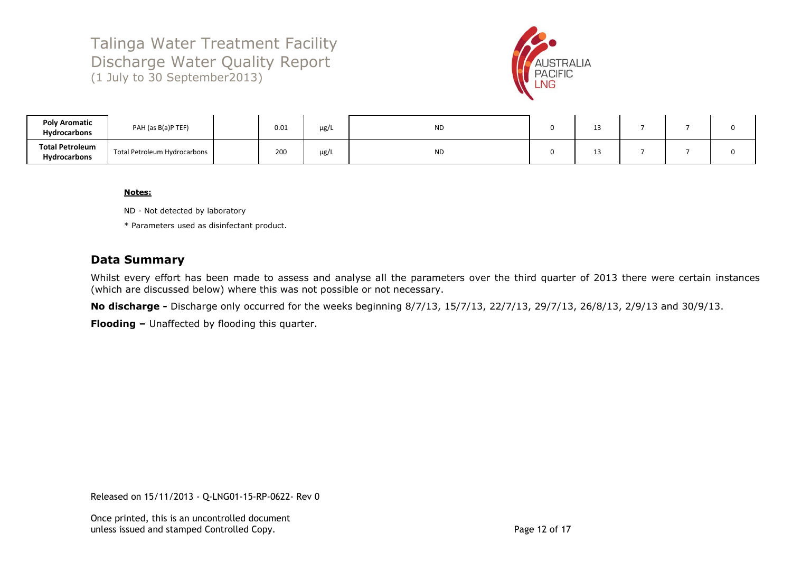

| <b>Poly Aromatic</b><br><b>Hydrocarbons</b>   | PAH (as B(a)P TEF)           | 0.01 | $\mu$ g/ | <b>ND</b> | -- |  |  |
|-----------------------------------------------|------------------------------|------|----------|-----------|----|--|--|
| <b>Total Petroleum</b><br><b>Hydrocarbons</b> | Total Petroleum Hydrocarbons | 200  | $\mu$ g/ | <b>ND</b> | -- |  |  |

#### **Notes:**

ND - Not detected by laboratory

\* Parameters used as disinfectant product.

### **Data Summary**

Whilst every effort has been made to assess and analyse all the parameters over the third quarter of 2013 there were certain instances (which are discussed below) where this was not possible or not necessary.

**No discharge -** Discharge only occurred for the weeks beginning 8/7/13, 15/7/13, 22/7/13, 29/7/13, 26/8/13, 2/9/13 and 30/9/13.

**Flooding –** Unaffected by flooding this quarter.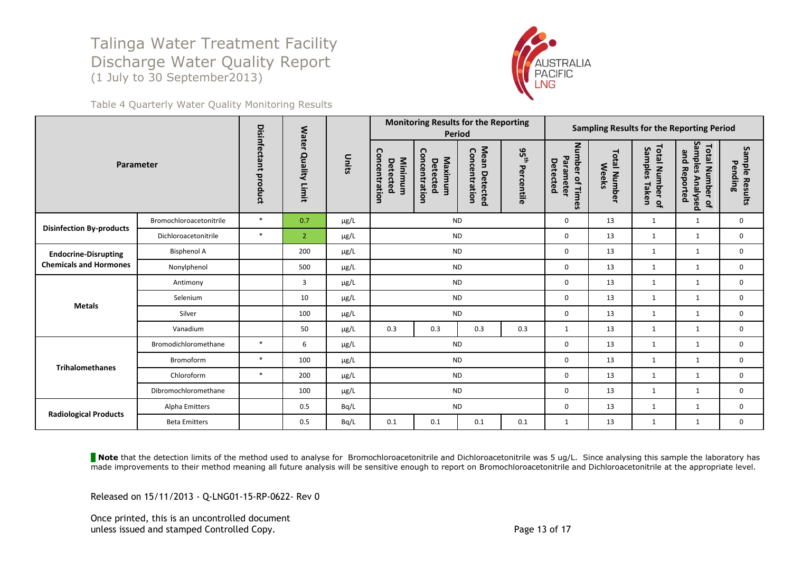

Table 4 Quarterly Water Quality Monitoring Results

|                                 |                         |                         | <b>Water</b>         |           |                                      | <b>Monitoring Results for the Reporting</b> | <b>Period</b>                  |                             |                                          |                                     |                                     | Sampling Results for the Reporting Period                                |                           |
|---------------------------------|-------------------------|-------------------------|----------------------|-----------|--------------------------------------|---------------------------------------------|--------------------------------|-----------------------------|------------------------------------------|-------------------------------------|-------------------------------------|--------------------------------------------------------------------------|---------------------------|
| Parameter                       |                         | Disinfectant<br>product | <b>Quality Limit</b> | Units     | Concentration<br>Minimum<br>Detected | Concentration<br>Maximum<br>Detected        | Mean Detected<br>Concentration | $95^{\rm th}$<br>Percentile | Number of Times<br>Parameter<br>Detected | <b>Total Number</b><br><b>Weeks</b> | Total Number of<br>Samples<br>Taken | Sampl<br><b>Total Number of</b><br>and Reported<br><u>es</u><br>Analysed | Sample Results<br>Pending |
| <b>Disinfection By-products</b> | Bromochloroacetonitrile | $\ast$                  | 0.7                  | $\mu$ g/L | <b>ND</b>                            |                                             | $\mathbf 0$                    | 13                          | $\mathbf{1}$                             | $\mathbf{1}$                        | $\mathbf 0$                         |                                                                          |                           |
|                                 | Dichloroacetonitrile    | $\ast$                  | $\overline{2}$       | $\mu$ g/L | <b>ND</b>                            |                                             |                                |                             | $\mathbf 0$                              | 13                                  | $\mathbf{1}$                        | $\mathbf{1}$                                                             | $\mathbf 0$               |
| <b>Endocrine-Disrupting</b>     | <b>Bisphenol A</b>      |                         | 200                  | $\mu$ g/L | <b>ND</b>                            |                                             | $\mathbf 0$                    | 13                          | 1                                        | 1                                   | $\mathbf 0$                         |                                                                          |                           |
| <b>Chemicals and Hormones</b>   | Nonylphenol             |                         | 500                  | $\mu$ g/L | <b>ND</b>                            |                                             | 0                              | 13                          | $\mathbf{1}$                             | $\mathbf{1}$                        | 0                                   |                                                                          |                           |
|                                 | Antimony                |                         | 3                    | μg/L      |                                      |                                             | <b>ND</b>                      |                             | $\mathbf 0$                              | 13                                  | $\mathbf{1}$                        | 1                                                                        | $\mathbf 0$               |
| <b>Metals</b>                   | Selenium                |                         | 10                   | µg/L      |                                      |                                             | <b>ND</b>                      |                             | $\mathbf 0$                              | 13                                  | 1                                   | 1                                                                        | $\mathbf 0$               |
|                                 | Silver                  |                         | 100                  | $\mu$ g/L |                                      |                                             | <b>ND</b>                      |                             | $\mathbf 0$                              | 13                                  | $\mathbf{1}$                        | 1                                                                        | $\mathbf{0}$              |
|                                 | Vanadium                |                         | 50                   | µg/L      | 0.3                                  | 0.3                                         | 0.3                            | 0.3                         | $\mathbf{1}$                             | 13                                  | 1                                   | $\mathbf{1}$                                                             | $\mathbf 0$               |
|                                 | Bromodichloromethane    | $\ast$                  | 6                    | $\mu$ g/L |                                      | <b>ND</b>                                   |                                |                             | 0                                        | 13                                  | 1                                   | 1                                                                        | $\mathbf 0$               |
| <b>Trihalomethanes</b>          | <b>Bromoform</b>        | $\ast$                  | 100                  | µg/L      |                                      |                                             | <b>ND</b>                      |                             | 0                                        | 13                                  | 1                                   | 1                                                                        | 0                         |
|                                 | Chloroform              | $\ast$                  | 200                  | μg/L      | <b>ND</b>                            |                                             |                                | $\mathbf 0$                 | 13                                       | $\mathbf{1}$                        | $\mathbf{1}$                        | $\mathbf 0$                                                              |                           |
|                                 | Dibromochloromethane    |                         | 100                  | µg/L      |                                      |                                             | <b>ND</b>                      |                             | $\mathbf 0$                              | 13                                  | $\mathbf{1}$                        | 1                                                                        | 0                         |
|                                 | Alpha Emitters          |                         | 0.5                  | Bq/L      |                                      |                                             | <b>ND</b>                      |                             | $\mathbf 0$                              | 13                                  | $\mathbf{1}$                        | $\mathbf{1}$                                                             | $\mathbf 0$               |
| <b>Radiological Products</b>    | <b>Beta Emitters</b>    |                         | 0.5                  | Bq/L      | 0.1                                  | 0.1                                         | 0.1                            | 0.1                         | $\mathbf{1}$                             | 13                                  | $\mathbf{1}$                        | $\mathbf{1}$                                                             | $\mathbf 0$               |

**Note** that the detection limits of the method used to analyse for Bromochloroacetonitrile and Dichloroacetonitrile was 5 ug/L. Since analysing this sample the laboratory has made improvements to their method meaning all future analysis will be sensitive enough to report on Bromochloroacetonitrile and Dichloroacetonitrile at the appropriate level.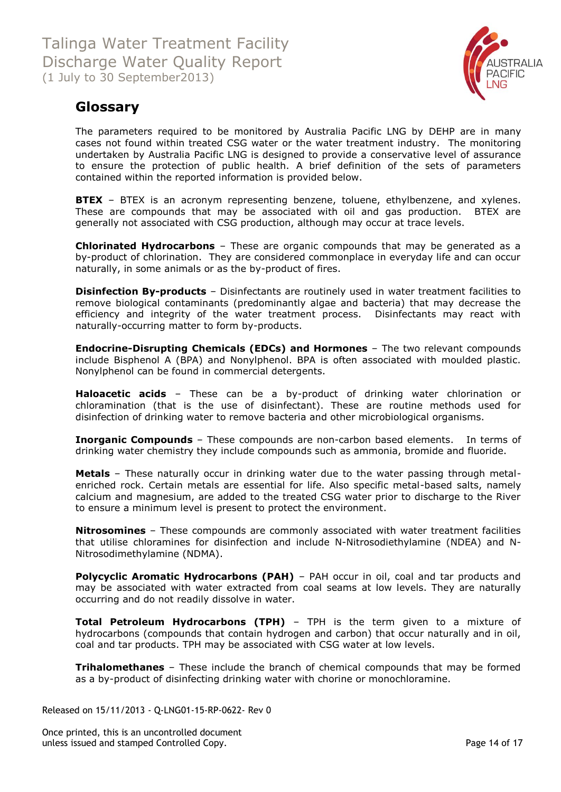

# <span id="page-13-0"></span>**Glossary**

The parameters required to be monitored by Australia Pacific LNG by DEHP are in many cases not found within treated CSG water or the water treatment industry. The monitoring undertaken by Australia Pacific LNG is designed to provide a conservative level of assurance to ensure the protection of public health. A brief definition of the sets of parameters contained within the reported information is provided below.

**BTEX** - BTEX is an acronym representing benzene, toluene, ethylbenzene, and xylenes. These are compounds that may be associated with oil and gas production. BTEX are generally not associated with CSG production, although may occur at trace levels.

**Chlorinated Hydrocarbons** – These are organic compounds that may be generated as a by-product of chlorination. They are considered commonplace in everyday life and can occur naturally, in some animals or as the by-product of fires.

**Disinfection By-products** - Disinfectants are routinely used in water treatment facilities to remove biological contaminants (predominantly algae and bacteria) that may decrease the efficiency and integrity of the water treatment process. Disinfectants may react with naturally-occurring matter to form by-products.

**Endocrine-Disrupting Chemicals (EDCs) and Hormones** – The two relevant compounds include Bisphenol A (BPA) and Nonylphenol. BPA is often associated with moulded plastic. Nonylphenol can be found in commercial detergents.

**Haloacetic acids** – These can be a by-product of drinking water chlorination or chloramination (that is the use of disinfectant). These are routine methods used for disinfection of drinking water to remove bacteria and other microbiological organisms.

**Inorganic Compounds** – These compounds are non-carbon based elements. In terms of drinking water chemistry they include compounds such as ammonia, bromide and fluoride.

**Metals** – These naturally occur in drinking water due to the water passing through metalenriched rock. Certain metals are essential for life. Also specific metal-based salts, namely calcium and magnesium, are added to the treated CSG water prior to discharge to the River to ensure a minimum level is present to protect the environment.

**Nitrosomines** – These compounds are commonly associated with water treatment facilities that utilise chloramines for disinfection and include N-Nitrosodiethylamine (NDEA) and N-Nitrosodimethylamine (NDMA).

**Polycyclic Aromatic Hydrocarbons (PAH)** - PAH occur in oil, coal and tar products and may be associated with water extracted from coal seams at low levels. They are naturally occurring and do not readily dissolve in water.

**Total Petroleum Hydrocarbons (TPH)** – TPH is the term given to a mixture of hydrocarbons (compounds that contain hydrogen and carbon) that occur naturally and in oil, coal and tar products. TPH may be associated with CSG water at low levels.

**Trihalomethanes** – These include the branch of chemical compounds that may be formed as a by-product of disinfecting drinking water with chorine or monochloramine.

Released on 15/11/2013 - Q-LNG01-15-RP-0622- Rev 0

Once printed, this is an uncontrolled document unless issued and stamped Controlled Copy. The extendion of the extendion of the Page 14 of 17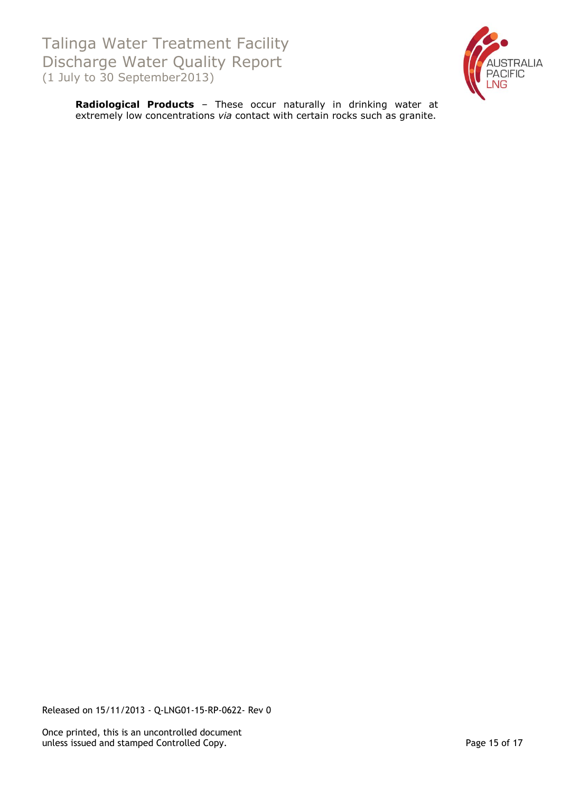

**Radiological Products** – These occur naturally in drinking water at extremely low concentrations *via* contact with certain rocks such as granite.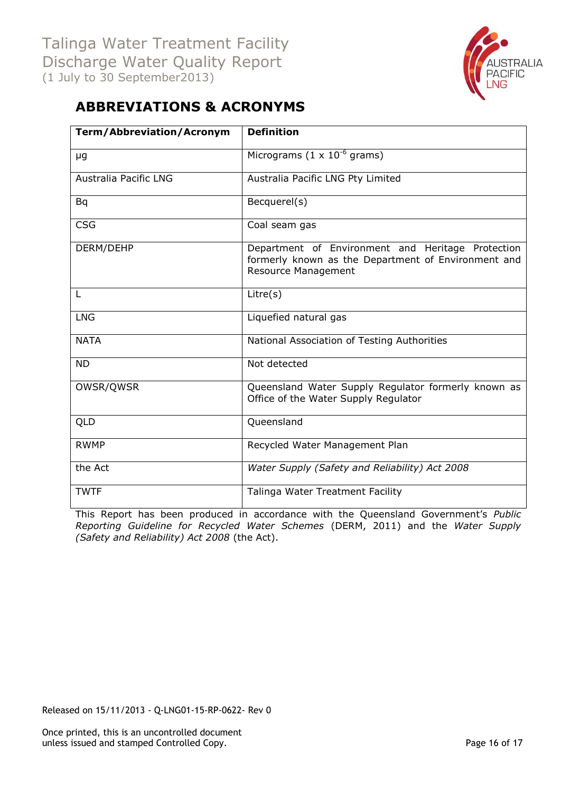

# <span id="page-15-0"></span>**ABBREVIATIONS & ACRONYMS**

| <b>Term/Abbreviation/Acronym</b> | <b>Definition</b>                                                                                                               |
|----------------------------------|---------------------------------------------------------------------------------------------------------------------------------|
| μg                               | Micrograms $(1 \times 10^{-6}$ grams)                                                                                           |
| <b>Australia Pacific LNG</b>     | Australia Pacific LNG Pty Limited                                                                                               |
| Bq                               | Becquerel(s)                                                                                                                    |
| <b>CSG</b>                       | Coal seam gas                                                                                                                   |
| DERM/DEHP                        | Department of Environment and Heritage Protection<br>formerly known as the Department of Environment and<br>Resource Management |
| L                                | Litre(s)                                                                                                                        |
| <b>LNG</b>                       | Liquefied natural gas                                                                                                           |
| <b>NATA</b>                      | National Association of Testing Authorities                                                                                     |
| <b>ND</b>                        | Not detected                                                                                                                    |
| OWSR/QWSR                        | Queensland Water Supply Regulator formerly known as<br>Office of the Water Supply Regulator                                     |
| QLD                              | Queensland                                                                                                                      |
| <b>RWMP</b>                      | Recycled Water Management Plan                                                                                                  |
| the Act                          | Water Supply (Safety and Reliability) Act 2008                                                                                  |
| <b>TWTF</b>                      | Talinga Water Treatment Facility                                                                                                |

This Report has been produced in accordance with the Queensland Government's *Public Reporting Guideline for Recycled Water Schemes* (DERM, 2011) and the *Water Supply (Safety and Reliability) Act 2008* (the Act).